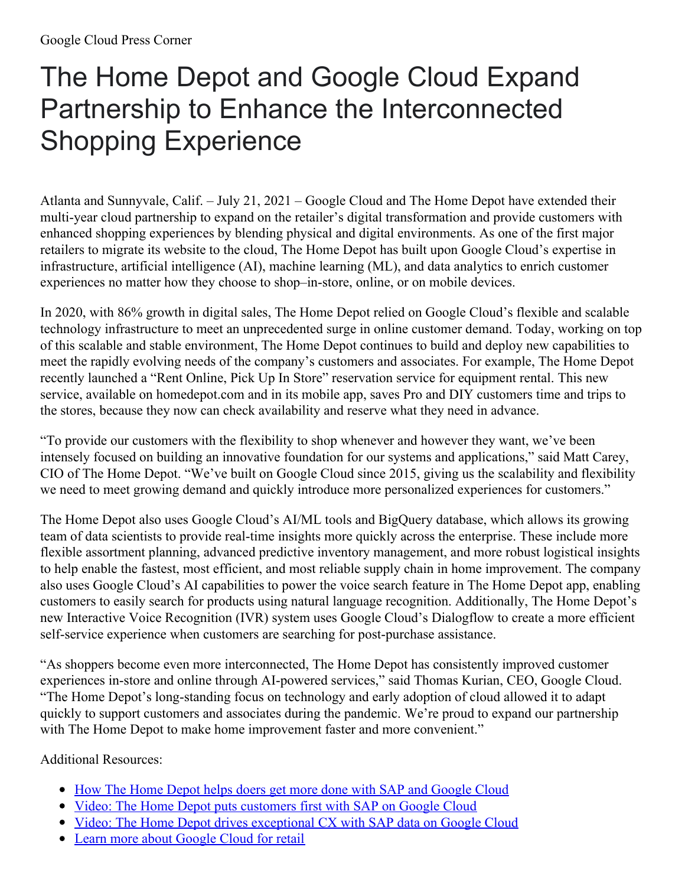## The Home Depot and Google Cloud Expand Partnership to Enhance the Interconnected Shopping Experience

Atlanta and Sunnyvale, Calif. – July 21, 2021 – Google Cloud and The Home Depot have extended their multi-year cloud partnership to expand on the retailer's digital transformation and provide customers with enhanced shopping experiences by blending physical and digital environments. As one of the first major retailers to migrate its website to the cloud, The Home Depot has built upon Google Cloud's expertise in infrastructure, artificial intelligence (AI), machine learning (ML), and data analytics to enrich customer experiences no matter how they choose to shop–in-store, online, or on mobile devices.

In 2020, with 86% growth in digital sales, The Home Depot relied on Google Cloud's flexible and scalable technology infrastructure to meet an unprecedented surge in online customer demand. Today, working on top of this scalable and stable environment, The Home Depot continues to build and deploy new capabilities to meet the rapidly evolving needs of the company's customers and associates. For example, The Home Depot recently launched a "Rent Online, Pick Up In Store" reservation service for equipment rental. This new service, available on homedepot.com and in its mobile app, saves Pro and DIY customers time and trips to the stores, because they now can check availability and reserve what they need in advance.

"To provide our customers with the flexibility to shop whenever and however they want, we've been intensely focused on building an innovative foundation for our systems and applications," said Matt Carey, CIO of The Home Depot. "We've built on Google Cloud since 2015, giving us the scalability and flexibility we need to meet growing demand and quickly introduce more personalized experiences for customers."

The Home Depot also uses Google Cloud's AI/ML tools and BigQuery database, which allows its growing team of data scientists to provide real-time insights more quickly across the enterprise. These include more flexible assortment planning, advanced predictive inventory management, and more robust logistical insights to help enable the fastest, most efficient, and most reliable supply chain in home improvement. The company also uses Google Cloud's AI capabilities to power the voice search feature in The Home Depot app, enabling customers to easily search for products using natural language recognition. Additionally, The Home Depot's new Interactive Voice Recognition (IVR) system uses Google Cloud's Dialogflow to create a more efficient self-service experience when customers are searching for post-purchase assistance.

"As shoppers become even more interconnected, The Home Depot has consistently improved customer experiences in-store and online through AI-powered services," said Thomas Kurian, CEO, Google Cloud. "The Home Depot's long-standing focus on technology and early adoption of cloud allowed it to adapt quickly to support customers and associates during the pandemic. We're proud to expand our partnership with The Home Depot to make home improvement faster and more convenient."

Additional Resources:

- How The Home Depot helps doers get more done with SAP and [Google](https://cloud.google.com/blog/products/sap-google-cloud/how-the-home-depot-migrated-to-sap-on-google-cloud) Cloud
- Video: The Home Depot puts [customers](https://www.youtube.com/watch?v=-vJaAylnNsc) first with SAP on Google Cloud
- Video: The Home Depot drives [exceptional](https://www.youtube.com/watch?v=LuZ8NpoSn3c) CX with SAP data on Google Cloud
- Learn more about [Google](https://cloud.google.com/solutions/retail) Cloud for retail